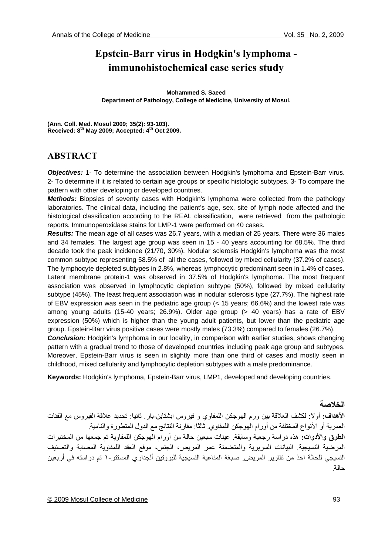# **Epstein-Barr virus in Hodgkin's lymphoma immunohistochemical case series study**

**Mohammed S. Saeed Department of Pathology, College of Medicine, University of Mosul.** 

**(Ann. Coll. Med. Mosul 2009; 35(2): 93-103). Received: 8th May 2009; Accepted: 4th Oct 2009.** 

## **ABSTRACT**

**Objectives:** 1- To determine the association between Hodgkin's lymphoma and Epstein-Barr virus. 2- To determine if it is related to certain age groups or specific histologic subtypes. 3- To compare the pattern with other developing or developed countries.

*Methods:* Biopsies of seventy cases with Hodgkin's lymphoma were collected from the pathology laboratories. The clinical data, including the patient's age, sex, site of lymph node affected and the histological classification according to the REAL classification, were retrieved from the pathologic reports. Immunoperoxidase stains for LMP-1 were performed on 40 cases.

*Results:* The mean age of all cases was 26.7 years, with a median of 25 years. There were 36 males and 34 females. The largest age group was seen in 15 - 40 years accounting for 68.5%. The third decade took the peak incidence (21/70, 30%). Nodular sclerosis Hodgkin's lymphoma was the most common subtype representing 58.5% of all the cases, followed by mixed cellularity (37.2% of cases). The lymphocyte depleted subtypes in 2.8%, whereas lymphocytic predominant seen in 1.4% of cases. Latent membrane protein-1 was observed in 37.5% of Hodgkin's lymphoma. The most frequent association was observed in lymphocytic depletion subtype (50%), followed by mixed cellularity subtype (45%). The least frequent association was in nodular sclerosis type (27.7%). The highest rate of EBV expression was seen in the pediatric age group (< 15 years; 66.6%) and the lowest rate was among young adults (15-40 years; 26.9%). Older age group (> 40 years) has a rate of EBV expression (50%) which is higher than the young adult patients, but lower than the pediatric age group. Epstein-Barr virus positive cases were mostly males (73.3%) compared to females (26.7%).

*Conclusion:* Hodgkin's lymphoma in our locality, in comparison with earlier studies, shows changing pattern with a gradual trend to those of developed countries including peak age group and subtypes. Moreover, Epstein-Barr virus is seen in slightly more than one third of cases and mostly seen in childhood, mixed cellularity and lymphocytic depletion subtypes with a male predominance.

**Keywords:** Hodgkin's lymphoma, Epstein-Barr virus, LMP1, developed and developing countries.

### **الخلاصة**

**الأهداف:** أولا: لكشف العلاقة بين ورم الهوجكن اللمفاوي و فيروس ابشتاين-بار. ثانيا: تحديد علاقة الفيروس مع الفئات العمرية أو الأنواع المختلفة من أورام الهوجكن اللمفاوي. ثالثا: مقارنة النتائج مع الدول المتطورة والنامية. **الطرق والأدوات:** هذه دراسة رجعية وسابقة. عينات سبعين حالة من أورام الهوجكن اللمفاوية تم جمعها من المختبرات المرضية النسيجية. البيانات السريرية والمتضمنة عمر المريض، الجنس، موقع العقد اللمفاوية المصابة والتصنيف النسيجي للحالة اخذ من تقارير المريض. صبغة المناعية النسيجية للبروتين ألجداري المستتر١- تم دراسته في أربعين حالة.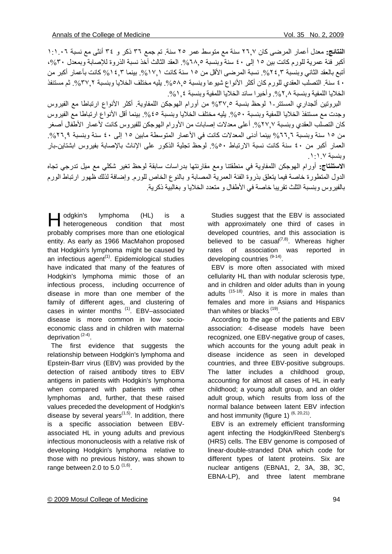ا**لنتائج:** معدل أعمار المرضى كان ٢٦,٧ سنة مع متوسط عمر ٢٥ سنة. تم جمع ٣٦ ذكر و ٣٤ أنثى مع نسبة ١:١.٠٦ أكبر فئة عمرية للورم كانت بين ١٥ إلى ٤٠ سنة وبنسبة ٢٨,٥٪. العقد الثالث أخذ نسبة الذروة للإصابة وبمعدل ٣٠%، أتبع بالعقد الثاني وبنسبة ٢٤٦%. نسبة المرضى الأقل من ١٥ سنة كانت ١٧,١ بينما ٣.٤ 1% كانت بأعمار أكبر من ٤٠ سنة. التصلب العقدي للور م كان أكثر الأنواع شيو عا وبنسبة ٥٨.٥ يليه مختلف الخلايا وبنسبة ٣٧.٢ شم مستنفذ الخلايا اللمفية وبنسبة ٨. ٢,٢ و أخير ١ سائد الخلايا اللمفية وبنسبة ٤ 1,٠٪

 البروتين ألجداري المستتر١- لوحظ بنسبة %٣٧,٥ من أورام الهوجكن اللمفاوية. أآثر الأنواع ارتباطا مع الفيروس وجدت مع مستنفذ الخلايا اللمفية وبنسبة ٥٠%. يليه مختلف الخلايا وبنسبة ٤٥%. بينما أقل الأنواع ارتباطا مع الفيروس كان التصلب العقدي وبنسبة ٢٧,٧٧، أعلى معدلات إصابات من الأورام الهوجكن للفيروس كانت لأعمار الأطفال أصغر من ١٥ سنة وبنسبة ٦٦,٦% بينما أدنى المعدلات كانت في الأعمار المتوسطة مابين ١٥ إلى ٤٠ سنة وبنسبة ٢٦٦%. العمار أكبر من ٤٠ سنة كانت نسبة الارتباط ٥٠% لوحظ تجلية الذكور على الإناث بالإصابة بفيروس ابشتاين-بار وبنسبة .١:١.٧

**الاستنتاج:** أورام الهوجكن اللمفاوية في منطقتنا ومع مقارنتها بدراسات سابقة لوحظ تغير شكلي مع ميل تدرجي تجاه الدول المتطورة خاصة فيما يتعلق بذروة الفئة العمرية المصابة و بالنوع الخاص للورم. وإضافة لذلك ظهور ارتباط الورم بالفيروس وبنسبة الثلث تقريبا خاصة في الأطفال و متعدد الخلايا و بغالبية ذآرية.

odgkin's lymphoma (HL) is a dgkin's lymphoma (HL) is a<br>heterogeneous condition that most probably comprises more than one etiological entity. As early as 1966 MacMahon proposed that Hodgkin's lymphoma might be caused by an infectious  $agent^{(1)}$ . Epidemiological studies have indicated that many of the features of Hodgkin's lymphoma mimic those of an infectious process, including occurrence of disease in more than one member of the family of different ages, and clustering of cases in winter months<sup>(1)</sup>. EBV-associated disease is more common in low socioeconomic class and in children with maternal deprivation (2-4).

 The first evidence that suggests the relationship between Hodgkin's lymphoma and Epstein-Barr virus (EBV) was provided by the detection of raised antibody titres to EBV antigens in patients with Hodgkin's lymphoma when compared with patients with other lymphomas and, further, that these raised values preceded the development of Hodgkin's disease by several years $(1,5)$ . In addition, there is a specific association between EBVassociated HL in young adults and previous infectious mononucleosis with a relative risk of developing Hodgkin's lymphoma relative to those with no previous history, was shown to range between 2.0 to 5.0  $(1,6)$ .

 Studies suggest that the EBV is associated with approximately one third of cases in developed countries, and this association is believed to be casual<sup> $(7,8)$ </sup>. Whereas higher rates of association was reported in developing countries<sup>(9-14)</sup>.

 EBV is more often associated with mixed cellularity HL than with nodular sclerosis type, and in children and older adults than in young adults<sup>(15-18)</sup>. Also it is more in males than females and more in Asians and Hispanics than whites or blacks  $(19)$ .

 According to the age of the patients and EBV association: 4-disease models have been recognized, one EBV-negative group of cases, which accounts for the young adult peak in disease incidence as seen in developed countries, and three EBV-positive subgroups. The latter includes a childhood group, accounting for almost all cases of HL in early childhood; a young adult group, and an older adult group, which results from loss of the normal balance between latent EBV infection and host immunity (figure 1)  $(6, 20, 21)$ .

 EBV is an extremely efficient transforming agent infecting the Hodgkin/Reed Stenberg's (HRS) cells. The EBV genome is composed of linear-double-stranded DNA which code for different types of latent proteins. Six are nuclear antigens (EBNA1, 2, 3A, 3B, 3C, EBNA-LP), and three latent membrane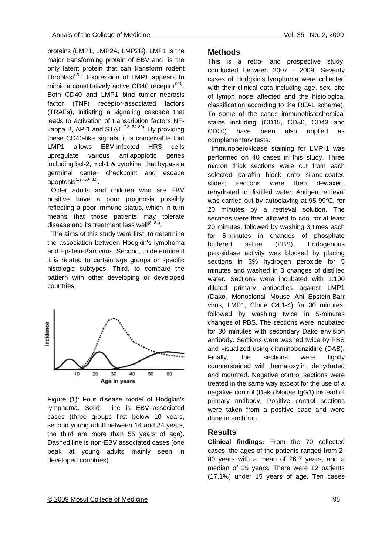proteins (LMP1, LMP2A, LMP2B). LMP1 is the major transforming protein of EBV and is the only latent protein that can transform rodent fibroblast<sup>(22)</sup>. Expression of LMP1 appears to mimic a constitutively active CD40 receptor $(23)$ . Both CD40 and LMP1 bind tumor necrosis factor (TNF) receptor-associated factors (TRAFs), initiating a signaling cascade that leads to activation of transcription factors NFkappa B, AP-1 and STAT  $(22, 24-29)$ . By providing these CD40-like signals, it is conceivable that LMP1 allows EBV-infected HRS cells upregulate various antiapoptotic genes including bcl-2, mcl-1 & cytokine that bypass a germinal center checkpoint and escape  $q = 2$ 

 Older adults and children who are EBV positive have a poor prognosis possibly reflecting a poor immune status, which in turn means that those patients may tolerate disease and its treatment less well $^{(3, 34)}$ .

The aims of this study were first, to determine the association between Hodgkin's lymphoma and Epstein-Barr virus. Second, to determine if it is related to certain age groups or specific histologic subtypes. Third, to compare the pattern with other developing or developed countries.



Figure (1): Four disease model of Hodgkin's lymphoma. Solid line is EBV–associated cases (three groups first below 10 years, second young adult between 14 and 34 years, the third are more than 55 years of age). Dashed line is non-EBV associated cases (one peak at young adults mainly seen in developed countries).

#### **Methods**

This is a retro- and prospective study, conducted between 2007 - 2009. Seventy cases of Hodgkin's lymphoma were collected with their clinical data including age, sex, site of lymph node affected and the histological classification according to the REAL scheme). To some of the cases immunohistochemical stains including (CD15, CD30, CD43 and CD20) have been also applied as complementary tests.

 Immunoperoxidase staining for LMP-1 was performed on 40 cases in this study. Three micron thick sections were cut from each selected paraffin block onto silane-coated slides; sections were then dewaxed, rehydrated to distilled water. Antigen retrieval was carried out by autoclaving at 95-99°C, for 20 minutes by a retrieval solution. The sections were then allowed to cool for at least 20 minutes, followed by washing 3 times each for 5-minutes in changes of phosphate buffered saline (PBS). Endogenous peroxidase activity was blocked by placing sections in 3% hydrogen peroxide for 5 minutes and washed in 3 changes of distilled water. Sections were incubated with 1:100 diluted primary antibodies against LMP1 (Dako, Monoclonal Mouse Anti-Epstein-Barr virus, LMP1, Clone C4.1-4) for 30 minutes, followed by washing twice in 5-minutes changes of PBS. The sections were incubated for 30 minutes with secondary Dako envision antibody. Sections were washed twice by PBS and visualized using diaminobenzidine (DAB). Finally, the sections were lightly counterstained with hematoxylin, dehydrated and mounted. Negative control sections were treated in the same way except for the use of a negative control (Dako Mouse IgG1) instead of primary antibody. Positive control sections were taken from a positive case and were done in each run.

#### **Results**

**Clinical findings:** From the 70 collected cases, the ages of the patients ranged from 2- 80 years with a mean of 26.7 years, and a median of 25 years. There were 12 patients (17.1%) under 15 years of age. Ten cases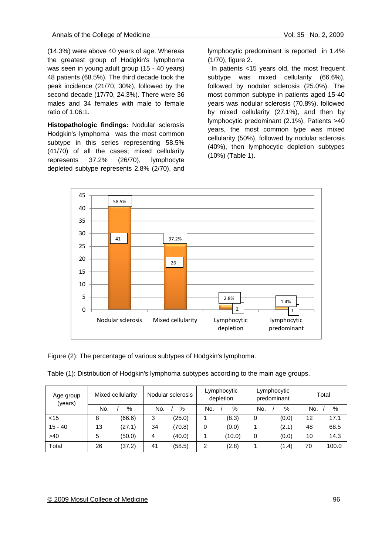(14.3%) were above 40 years of age. Whereas the greatest group of Hodgkin's lymphoma was seen in young adult group (15 - 40 years) 48 patients (68.5%). The third decade took the peak incidence (21/70, 30%), followed by the second decade (17/70, 24.3%). There were 36 males and 34 females with male to female ratio of 1.06:1.

**Histopathologic findings:** Nodular sclerosis Hodgkin's lymphoma was the most common subtype in this series representing 58.5% (41/70) of all the cases; mixed cellularity represents 37.2% (26/70), lymphocyte depleted subtype represents 2.8% (2/70), and

lymphocytic predominant is reported in 1.4% (1/70), figure 2.

 In patients <15 years old, the most frequent subtype was mixed cellularity (66.6%), followed by nodular sclerosis (25.0%). The most common subtype in patients aged 15-40 years was nodular sclerosis (70.8%), followed by mixed cellularity (27.1%), and then by lymphocytic predominant (2.1%). Patients >40 years, the most common type was mixed cellularity (50%), followed by nodular sclerosis (40%), then lymphocytic depletion subtypes (10%) (Table 1).



Figure (2): The percentage of various subtypes of Hodgkin's lymphoma.

| Age group<br>(years) | Mixed cellularity |        | Nodular sclerosis |        | Lymphocytic<br>depletion |        | Lymphocytic<br>predominant |       | Total |       |
|----------------------|-------------------|--------|-------------------|--------|--------------------------|--------|----------------------------|-------|-------|-------|
|                      | No.               | %      | No.               | %      | No.                      | $\%$   | No.                        | %     | No.   | $\%$  |
| $<$ 15               | 8                 | (66.6) | 3                 | (25.0) |                          | (8.3)  | 0                          | (0.0) | 12    | 17.1  |
| $15 - 40$            | 13                | (27.1) | 34                | (70.8) | 0                        | (0.0)  |                            | (2.1) | 48    | 68.5  |
| >40                  | 5                 | (50.0) | 4                 | (40.0) |                          | (10.0) | 0                          | (0.0) | 10    | 14.3  |
| Total                | 26                | (37.2) | 41                | (58.5) | 2                        | (2.8)  |                            | (1.4) | 70    | 100.0 |

Table (1): Distribution of Hodgkin's lymphoma subtypes according to the main age groups.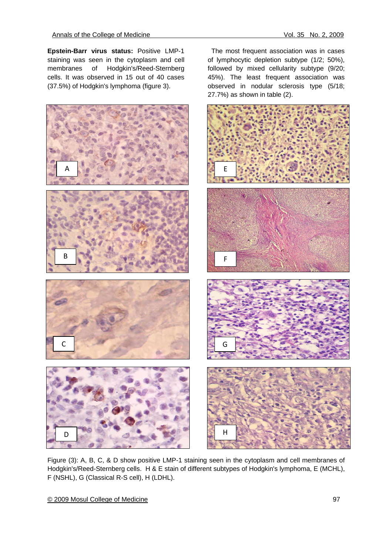The most frequent association was in cases of lymphocytic depletion subtype (1/2; 50%), followed by mixed cellularity subtype (9/20; 45%). The least frequent association was observed in nodular sclerosis type (5/18;

**Epstein-Barr virus status:** Positive LMP-1 staining was seen in the cytoplasm and cell membranes of Hodgkin's/Reed-Sternberg cells. It was observed in 15 out of 40 cases (37.5%) of Hodgkin's lymphoma (figure 3).



Figure (3): A, B, C, & D show positive LMP-1 staining seen in the cytoplasm and cell membranes of Hodgkin's/Reed-Sternberg cells. H & E stain of different subtypes of Hodgkin's lymphoma, E (MCHL), F (NSHL), G (Classical R-S cell), H (LDHL).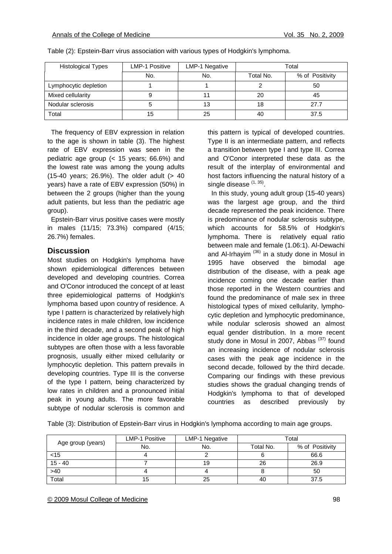| <b>Histological Types</b> | <b>LMP-1 Positive</b> | <b>LMP-1 Negative</b> | Total     |                 |
|---------------------------|-----------------------|-----------------------|-----------|-----------------|
|                           | No.                   | No.                   | Total No. | % of Positivity |
| Lymphocytic depletion     |                       |                       |           | 50              |
| Mixed cellularity         |                       |                       | 20        | 45              |
| Nodular sclerosis         |                       | 13                    | 18        | 27.7            |
| Total                     | 15                    | 25                    | 40        | 37.5            |

Table (2): Epstein-Barr virus association with various types of Hodgkin's lymphoma.

 The frequency of EBV expression in relation to the age is shown in table (3). The highest rate of EBV expression was seen in the pediatric age group (< 15 years; 66.6%) and the lowest rate was among the young adults (15-40 years; 26.9%). The older adult (> 40 years) have a rate of EBV expression (50%) in between the 2 groups (higher than the young adult patients, but less than the pediatric age group).

 Epstein-Barr virus positive cases were mostly in males (11/15; 73.3%) compared (4/15; 26.7%) females.

#### **Discussion**

Most studies on Hodgkin's lymphoma have shown epidemiological differences between developed and developing countries. Correa and O'Conor introduced the concept of at least three epidemiological patterns of Hodgkin's lymphoma based upon country of residence. A type I pattern is characterized by relatively high incidence rates in male children, low incidence in the third decade, and a second peak of high incidence in older age groups. The histological subtypes are often those with a less favorable prognosis, usually either mixed cellularity or lymphocytic depletion. This pattern prevails in developing countries. Type III is the converse of the type I pattern, being characterized by low rates in children and a pronounced initial peak in young adults. The more favorable subtype of nodular sclerosis is common and

this pattern is typical of developed countries. Type II is an intermediate pattern, and reflects a transition between type I and type III. Correa and O'Conor interpreted these data as the result of the interplay of environmental and host factors influencing the natural history of a single disease  $(1, 35)$ .

 In this study, young adult group (15-40 years) was the largest age group, and the third decade represented the peak incidence. There is predominance of nodular sclerosis subtype, which accounts for 58.5% of Hodgkin's lymphoma. There is relatively equal ratio between male and female (1.06:1). Al-Dewachi and Al-Irhayim  $(36)$  in a study done in Mosul in 1995 have observed the bimodal age distribution of the disease, with a peak age incidence coming one decade earlier than those reported in the Western countries and found the predominance of male sex in three histological types of mixed cellularity, lymphocytic depletion and lymphocytic predominance, while nodular sclerosis showed an almost equal gender distribution. In a more recent study done in Mosul in 2007, Abbas  $(37)$  found an increasing incidence of nodular sclerosis cases with the peak age incidence in the second decade, followed by the third decade. Comparing our findings with these previous studies shows the gradual changing trends of Hodgkin's lymphoma to that of developed countries as described previously by

| Table (3): Distribution of Epstein-Barr virus in Hodgkin's lymphoma according to main age groups. |  |  |  |
|---------------------------------------------------------------------------------------------------|--|--|--|
|                                                                                                   |  |  |  |

|                   | <b>LMP-1 Positive</b> | LMP-1 Negative | Total     |                 |
|-------------------|-----------------------|----------------|-----------|-----------------|
| Age group (years) | No.                   | No.            | Total No. | % of Positivity |
| $<$ 15            |                       |                |           | 66.6            |
| $15 - 40$         |                       | 19             | 26        | 26.9            |
| $>40$             |                       |                |           | 50              |
| Total             | 15                    | 25             | 40        | 37.5            |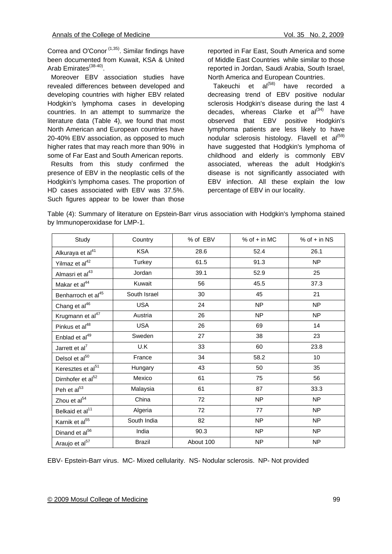Correa and O'Conor<sup> $(1,35)$ </sup>. Similar findings have been documented from Kuwait, KSA & United Arab Emirates<sup>(38-40)</sup>.

 Moreover EBV association studies have revealed differences between developed and developing countries with higher EBV related Hodgkin's lymphoma cases in developing countries. In an attempt to summarize the literature data (Table 4), we found that most North American and European countries have 20-40% EBV association, as opposed to much higher rates that may reach more than 90% in some of Far East and South American reports.

 Results from this study confirmed the presence of EBV in the neoplastic cells of the Hodgkin's lymphoma cases. The proportion of HD cases associated with EBV was 37.5%. Such figures appear to be lower than those

reported in Far East, South America and some of Middle East Countries while similar to those reported in Jordan, Saudi Arabia, South Israel, North America and European Countries.

Takeuchi et  $al^{(58)}$  have recorded a decreasing trend of EBV positive nodular sclerosis Hodgkin's disease during the last 4 decades, whereas Clarke et  $al^{(34)}$  have observed that EBV positive Hodgkin's lymphoma patients are less likely to have nodular sclerosis histology. Flavell et  $al^{(59)}$ have suggested that Hodgkin's lymphoma of childhood and elderly is commonly EBV associated, whereas the adult Hodgkin's disease is not significantly associated with EBV infection. All these explain the low percentage of EBV in our locality.

Table (4): Summary of literature on Epstein-Barr virus association with Hodgkin's lymphoma stained by Immunoperoxidase for LMP-1.

| Study                          | Country       | % of EBV  | % of $+$ in MC | % of $+$ in NS |
|--------------------------------|---------------|-----------|----------------|----------------|
| Alkuraya et al <sup>41</sup>   | <b>KSA</b>    | 28.6      | 52.4           | 26.1           |
| Yilmaz et al <sup>42</sup>     | Turkey        | 61.5      | 91.3           | <b>NP</b>      |
| Almasri et al <sup>43</sup>    | Jordan        | 39.1      | 52.9           | 25             |
| Makar et al <sup>44</sup>      | Kuwait        | 56        | 45.5           | 37.3           |
| Benharroch et al <sup>45</sup> | South Israel  | 30        | 45             | 21             |
| Chang et al <sup>46</sup>      | <b>USA</b>    | 24        | NP             | <b>NP</b>      |
| Krugmann et al <sup>47</sup>   | Austria       | 26        | NP             | <b>NP</b>      |
| Pinkus et al <sup>48</sup>     | <b>USA</b>    | 26        | 69             | 14             |
| Enblad et al <sup>49</sup>     | Sweden        | 27        | 38             | 23             |
| Jarrett et al <sup>7</sup>     | U.K           | 33        | 60             | 23.8           |
| Delsol et al <sup>50</sup>     | France        | 34        | 58.2           | 10             |
| Keresztes et al <sup>51</sup>  | Hungary       | 43        | 50             | 35             |
| Dirnhofer et al <sup>52</sup>  | Mexico        | 61        | 75             | 56             |
| Peh et al <sup>53</sup>        | Malaysia      | 61        | 87             | 33.3           |
| Zhou et al <sup>54</sup>       | China         | 72        | NP             | <b>NP</b>      |
| Belkaid et al <sup>11</sup>    | Algeria       | 72        | 77             | <b>NP</b>      |
| Karnik et al <sup>55</sup>     | South India   | 82        | N <sub>P</sub> | <b>NP</b>      |
| Dinand et al <sup>56</sup>     | India         | 90.3      | NP.            | N <sub>P</sub> |
| Araujo et al <sup>57</sup>     | <b>Brazil</b> | About 100 | N <sub>P</sub> | <b>NP</b>      |

EBV- Epstein-Barr virus. MC- Mixed cellularity. NS- Nodular sclerosis. NP- Not provided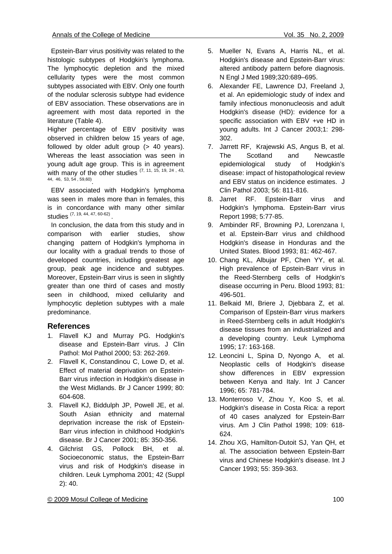Epstein-Barr virus positivity was related to the histologic subtypes of Hodgkin's lymphoma. The lymphocytic depletion and the mixed cellularity types were the most common subtypes associated with EBV. Only one fourth of the nodular sclerosis subtype had evidence of EBV association. These observations are in agreement with most data reported in the literature (Table 4).

Higher percentage of EBV positivity was observed in children below 15 years of age, followed by older adult group (> 40 years). Whereas the least association was seen in young adult age group. This is in agreement with many of the other studies  $(7, 11, 15, 19, 24, 43, 43)$ 44, 46, 53, 54 , 59,60).

 EBV associated with Hodgkin's lymphoma was seen in males more than in females, this is in concordance with many other similar studies (7, 19, 44, 47, 60-62)

 In conclusion, the data from this study and in comparison with earlier studies, show changing pattern of Hodgkin's lymphoma in our locality with a gradual trends to those of developed countries, including greatest age group, peak age incidence and subtypes. Moreover, Epstein-Barr virus is seen in slightly greater than one third of cases and mostly seen in childhood, mixed cellularity and lymphocytic depletion subtypes with a male predominance.

#### **References**

- 1. Flavell KJ and Murray PG. Hodgkin's disease and Epstein-Barr virus. J Clin Pathol: Mol Pathol 2000; 53: 262-269.
- 2. Flavell K, Constandinou C, Lowe D, et al. Effect of material deprivation on Epstein-Barr virus infection in Hodgkin's disease in the West Midlands. Br J Cancer 1999; 80: 604-608.
- 3. Flavell KJ, Biddulph JP, Powell JE, et al. South Asian ethnicity and maternal deprivation increase the risk of Epstein-Barr virus infection in childhood Hodgkin's disease. Br J Cancer 2001; 85: 350-356.
- 4. Gilchrist GS, Pollock BH, et al. Socioeconomic status, the Epstein-Barr virus and risk of Hodgkin's disease in children. Leuk Lymphoma 2001; 42 (Suppl 2): 40.
- 5. Mueller N, Evans A, Harris NL, et al. Hodgkin's disease and Epstein-Barr virus: altered antibody pattern before diagnosis. N Engl J Med 1989;320:689–695.
- 6. Alexander FE, Lawrence DJ, Freeland J, et al. An epidemiologic study of index and family infectious mononucleosis and adult Hodgkin's disease (HD): evidence for a specific association with EBV +ve HD in young adults. Int J Cancer 2003;1: 298- 302.
- 7. Jarrett RF, Krajewski AS, Angus B, et al. The Scotland and Newcastle epidemiological study of Hodgkin's disease: impact of histopathological review and EBV status on incidence estimates. J Clin Pathol 2003; 56: 811-816.
- 8. Jarret RF. Epstein-Barr virus and Hodgkin's lymphoma. Epstein-Barr virus Report 1998; 5:77-85.
- 9. Ambinder RF, Browning PJ, Lorenzana I, et al. Epstein-Barr virus and childhood Hodgkin's disease in Honduras and the United States. Blood 1993; 81: 462-467.
- 10. Chang KL, Albujar PF, Chen YY, et al. High prevalence of Epstein-Barr virus in the Reed-Sternberg cells of Hodgkin's disease occurring in Peru. Blood 1993; 81: 496-501.
- 11. Belkaid MI, Briere J, Djebbara Z, et al. Comparison of Epstein-Barr virus markers in Reed-Sternberg cells in adult Hodgkin's disease tissues from an industrialized and a developing country. Leuk Lymphoma 1995; 17: 163-168.
- 12. Leoncini L, Spina D, Nyongo A, et al. Neoplastic cells of Hodgkin's disease show differences in EBV expression between Kenya and Italy. Int J Cancer 1996; 65: 781-784.
- 13. Monterroso V, Zhou Y, Koo S, et al. Hodgkin's disease in Costa Rica: a report of 40 cases analyzed for Epstein-Barr virus. Am J Clin Pathol 1998; 109: 618- 624.
- 14. Zhou XG, Hamilton-Dutoit SJ, Yan QH, et al. The association between Epstein-Barr virus and Chinese Hodgkin's disease. Int J Cancer 1993; 55: 359-363.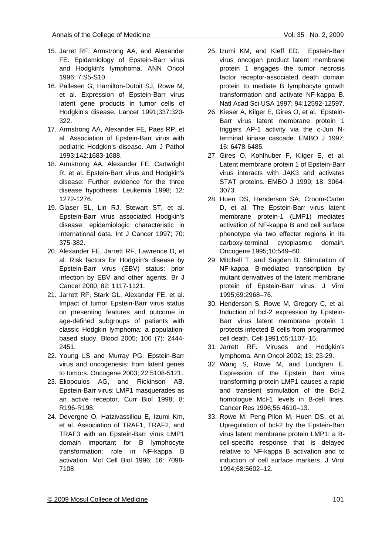- 15. Jarret RF, Armstrong AA, and Alexander FE. Epidemiology of Epstein-Barr virus and Hodgkin's lymphoma. ANN Oncol 1996; 7:S5-S10.
- 16. Pallesen G, Hamilton-Dutoit SJ, Rowe M, et al. Expression of Epstein-Barr virus latent gene products in tumor cells of Hodgkin's disease. Lancet 1991;337:320- 322.
- 17. Armstrong AA, Alexander FE, Paes RP, et al. Association of Epstein-Barr virus with pediatric Hodgkin's disease. Am J Pathol 1993;142:1683-1688.
- 18. Armstrong AA, Alexander FE, Cartwright R, et al. Epstein-Barr virus and Hodgkin's disease: Further evidence for the three disease hypothesis. Leukemia 1998; 12: 1272-1276.
- 19. Glaser SL, Lin RJ, Stewart ST, et al. Epstein-Barr virus associated Hodgkin's disease: epidemiologic characteristic in international data. Int J Cancer 1997; 70: 375-382.
- 20. Alexander FE, Jarrett RF, Lawrence D, et al. Risk factors for Hodgkin's disease by Epstein-Barr virus (EBV) status: prior infection by EBV and other agents. Br J Cancer 2000; 82: 1117-1121.
- 21. Jarrett RF, Stark GL, Alexander FE, et al. Impact of tumor Epstein-Barr virus status on presenting features and outcome in age-defined subgroups of patients with classic Hodgkin lymphoma: a populationbased study. Blood 2005; 106 (7): 2444- 2451.
- 22. Young LS and Murray PG. Epstein-Barr virus and oncogenesis: from latent genes to tumors. Oncogene 2003; 22:5108-5121.
- 23. Eliopoulos AG, and Rickinson AB. Epstein-Barr virus: LMP1 masquerades as an active receptor. Curr Biol 1998; 8: R196-R198.
- 24. Devergne O, Hatzivassiliou E, Izumi Km, et al. Association of TRAF1, TRAF2, and TRAF3 with an Epstein-Barr virus LMP1 domain important for B lymphocyte transformation: role in NF-kappa B activation. Mol Cell Biol 1996; 16: 7098- 7108
- 25. Izumi KM, and Kieff ED. Epstein-Barr virus oncogen product latent membrane protein 1 engages the tumor necrosis factor receptor-associated death domain protein to mediate B lymphocyte growth transformation and activate NF-kappa B. Natl Acad Sci USA 1997; 94:12592-12597.
- 26. Kieser A, Kilger E, Gires O, et al. Epstein-Barr virus latent membrane protein 1 triggers AP-1 activity via the c-Jun Nterminal kinase cascade. EMBO J 1997; 16: 6478-6485.
- 27. Gires O, Kohlhuber F, Kilger E, et al. Latent membrane protein 1 of Epstein-Barr virus interacts with JAK3 and activates STAT proteins. EMBO J 1999; 18: 3064- 3073.
- 28. Huen DS, Henderson SA, Croom-Carter D, et al. The Epstein-Barr virus latent membrane protein-1 (LMP1) mediates activation of NF-kappa B and cell surface phenotype via two effecter regions in its carboxy-terminal cytoplasmic domain. Oncogene 1995;10:549–60.
- 29. Mitchell T, and Sugden B. Stimulation of NF-kappa B-mediated transcription by mutant derivatives of the latent membrane protein of Epstein-Barr virus. J Virol 1995;69:2968–76.
- 30. Henderson S, Rowe M, Gregory C, et al. Induction of bcl-2 expression by Epstein-Barr virus latent membrane protein 1 protects infected B cells from programmed cell death. Cell 1991;65:1107–15.
- 31. Jarrett RF. Viruses and Hodgkin's lymphoma. Ann Oncol 2002; 13: 23-29.
- 32. Wang S, Rowe M, and Lundgren E. Expression of the Epstein Barr virus transforming protein LMP1 causes a rapid and transient stimulation of the Bcl-2 homologue Mcl-1 levels in B-cell lines. Cancer Res 1996;56:4610–13.
- 33. Rowe M, Peng-Pilon M, Huen DS, et al. Upregulation of bcl-2 by the Epstein-Barr virus latent membrane protein LMP1: a Bcell-specific response that is delayed relative to NF-kappa B activation and to induction of cell surface markers. J Virol 1994;68:5602–12.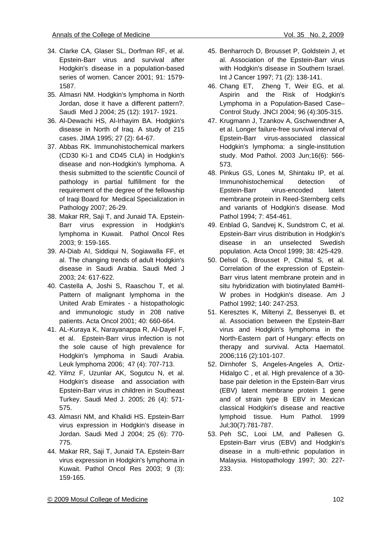- 34. Clarke CA, Glaser SL, Dorfman RF, et al. Epstein-Barr virus and survival after Hodgkin's disease in a population-based series of women. Cancer 2001; 91: 1579- 1587.
- 35. Almasri NM. Hodgkin's lymphoma in North Jordan, dose it have a different pattern?. Saudi Med J 2004; 25 (12): 1917- 1921.
- 36. Al-Dewachi HS, Al-Irhayim BA. Hodgkin's disease in North of Iraq. A study of 215 cases. JIMA 1995; 27 (2): 64-67.
- 37. Abbas RK. Immunohistochemical markers (CD30 Ki-1 and CD45 CLA) in Hodgkin's disease and non-Hodgkin's lymphoma. A thesis submitted to the scientific Council of pathology in partial fulfillment for the requirement of the degree of the fellowship of Iraqi Board for Medical Specialization in Pathology 2007; 26-29.
- 38. Makar RR, Saji T, and Junaid TA. Epstein-Barr virus expression in Hodgkin's lymphoma in Kuwait. Pathol Oncol Res 2003; 9: 159-165.
- 39. Al-Diab AI, Siddiqui N, Sogiawalla FF, et al. The changing trends of adult Hodgkin's disease in Saudi Arabia. Saudi Med J 2003; 24: 617-622.
- 40. Castella A, Joshi S, Raaschou T, et al. Pattern of malignant lymphoma in the United Arab Emirates - a histopathologic and immunologic study in 208 native patients. Acta Oncol 2001; 40: 660-664.
- 41. AL-Kuraya K, Narayanappa R, Al-Dayel F, et al. Epstein-Barr virus infection is not the sole cause of high prevalence for Hodgkin's lymphoma in Saudi Arabia. Leuk lymphoma 2006; 47 (4): 707-713.
- 42. Yilmz F, Uzunlar AK, Sogutcu N, et al. Hodgkin's disease and association with Epstein-Barr virus in children in Southeast Turkey. Saudi Med J. 2005; 26 (4): 571- 575.
- 43. Almasri NM, and Khalidi HS. Epstein-Barr virus expression in Hodgkin's disease in Jordan. Saudi Med J 2004; 25 (6): 770- 775.
- 44. Makar RR, Saji T, Junaid TA. Epstein-Barr virus expression in Hodgkin's lymphoma in Kuwait. Pathol Oncol Res 2003; 9 (3): 159-165.
- 45. Benharroch D, Brousset P, Goldstein J, et al. Association of the Epstein-Barr virus with Hodgkin's disease in Southern Israel. Int J Cancer 1997; 71 (2): 138-141.
- 46. Chang ET, Zheng T, Weir EG, et al. Aspirin and the Risk of Hodgkin's Lymphoma in a Population-Based Case– Control Study. JNCI 2004; 96 (4):305-315.
- 47. Krugmann J, Tzankov A, Gschwendtner A, et al. Longer failure-free survival interval of Epstein-Barr virus-associated classical Hodgkin's lymphoma: a single-institution study. Mod Pathol. 2003 Jun;16(6): 566- 573.
- 48. Pinkus GS, Lones M, Shintaku IP, et al. Immunohistochemical detection of Epstein-Barr virus-encoded latent membrane protein in Reed-Sternberg cells and variants of Hodgkin's disease. Mod Pathol 1994; 7: 454-461.
- 49. Enblad G, Sandvej K, Sundstrom C, et al. Epstein-Barr virus distribution in Hodgkin's disease in an unselected Swedish population. Acta Oncol 1999; 38: 425-429.
- 50. Delsol G, Brousset P, Chittal S, et al. Correlation of the expression of Epstein-Barr virus latent membrane protein and in situ hybridization with biotinylated BamHI-W probes in Hodgkin's disease. Am J Pathol 1992; 140: 247-253.
- 51. Keresztes K, Miltenyi Z, Bessenyei B, et al. Association between the Epstein-Barr virus and Hodgkin's lymphoma in the North-Eastern part of Hungary: effects on therapy and survival. Acta Haematol. 2006;116 (2):101-107.
- 52. Dirnhofer S, Angeles-Angeles A, Ortiz-Hidalgo C , et al. High prevalence of a 30 base pair deletion in the Epstein-Barr virus (EBV) latent membrane protein 1 gene and of strain type B EBV in Mexican classical Hodgkin's disease and reactive lymphoid tissue. Hum Pathol. 1999 Jul;30(7):781-787.
- 53. Peh SC, Looi LM, and Pallesen G. Epstein-Barr virus (EBV) and Hodgkin's disease in a multi-ethnic population in Malaysia. Histopathology 1997; 30: 227- 233.